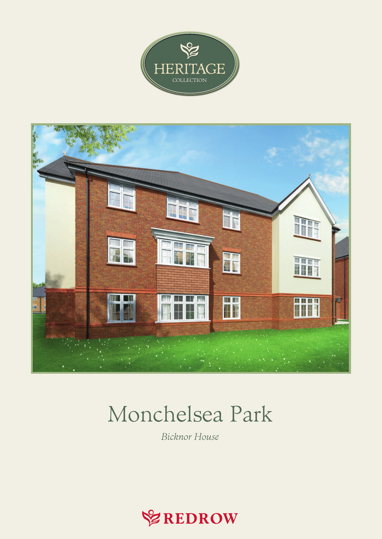



## Monchelsea Park

Bicknor House

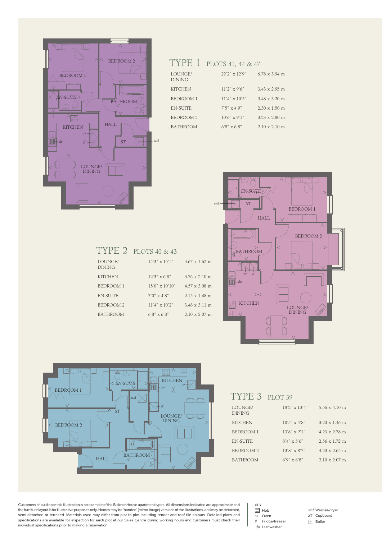

## TYPE 1 PLOTS 41, 44 & 47

| LOUNGE/<br><b>DINING</b> | 22'2" x 12'9"          | $6.78 \times 3.94$ m         |
|--------------------------|------------------------|------------------------------|
| <b>KITCHEN</b>           | $11'2''$ x 9'6"        | $3.43 \times 2.95$ m         |
| BEDROOM 1                | $11'4'' \times 10'5''$ | $3.48 \times 3.20 \text{ m}$ |
| EN-SUITE                 | $7.5'' \times 4.9''$   | $2.30 \times 1.50$ m         |
| BEDROOM <sub>2</sub>     | $10'6''$ x 9'1"        | $3.23 \times 2.80$ m         |
| <b>BATHROOM</b>          | $6'8'' \times 6'8''$   | $2.10 \times 2.10 \text{ m}$ |



| <b>KITCHEN</b>  | $12'3'' \times 6'8''$   | $3.76 \times 2.10 \text{ m}$ |
|-----------------|-------------------------|------------------------------|
| BEDROOM 1       | $15'0'' \times 10'10''$ | $4.57 \times 3.08$ m         |
| EN-SUITE        | $7'0'' \times 4'8''$    | $2.15 \times 1.48 \text{ m}$ |
| BEDROOM 2       | $11'4'' \times 10'2''$  | $3.48 \times 3.11 \text{ m}$ |
| <b>BATHROOM</b> | $6'8'' \times 6'8''$    | $2.10 \times 2.07$ m         |
|                 |                         |                              |
|                 |                         |                              |
|                 |                         |                              |

TYPE 2 PLOTS 40 & 43

DINING



| TYPE 3 PLOT 39           |                        |                              |
|--------------------------|------------------------|------------------------------|
| LOUNGE/<br><b>DINING</b> | $18'2'' \times 13'4''$ | $5.56 \times 4.10 \text{ m}$ |
| <b>KITCHEN</b>           | $10'5''$ x 4'8"        | $3.20 \times 1.46$ m         |
| <b>BEDROOM 1</b>         | $13'8'' \times 9'1''$  | $4.23 \times 2.78$ m         |
| <b>EN-SUITE</b>          | $8'4'' \times 5'6''$   | $2.56 \times 1.72 \text{ m}$ |
| <b>BEDROOM 2</b>         | $13'8'' \times 8'7''$  | $4.23 \times 2.65$ m         |
| <b>BATHROOM</b>          | $6'9'' \times 6'8''$   | $2.10 \times 2.07$ m         |

Customers should note this illustration is an example of the Bicknor House apartment types. All dimensions indicated are approximate and the furniture layout is for illustrative purposes only. Homes may be 'handed' (mirror image) versions of the illustrations, and may be detached, semi-detached or terraced. Materials used may differ from plot to plot including render and roof tile colours. Detailed plans and<br>specifications are available for inspection for each plot at our Sales Centre during working individual specifications prior to making a reservation.

KEY  $\frac{80}{60}$  Hob  $\overline{ov}$  Oven<br> $\overline{f}$  Fridge Fridge/freezer dw Dishwasher

w/d Washer/dryer ST Cupboard □<br>□ Boiler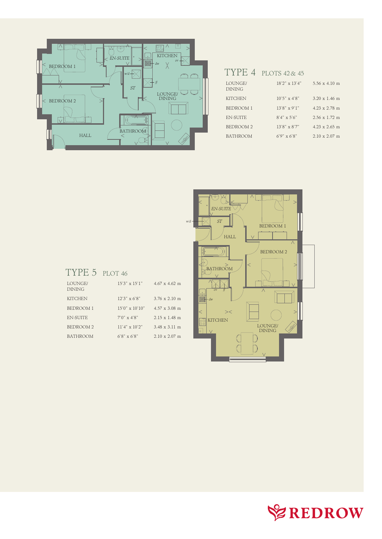

## TYPE 4 PLOTS 42& 45

| LOUNGE/<br><b>DINING</b> | $18'2'' \times 13'4''$ | $5.56 \times 4.10 \text{ m}$ |
|--------------------------|------------------------|------------------------------|
| <b>KITCHEN</b>           | $10'5'' \times 4'8''$  | $3.20 \times 1.46$ m         |
| <b>BEDROOM 1</b>         | $13'8'' \times 9'1''$  | $4.23 \times 2.78$ m         |
| EN-SUITE                 | $8'4'' \times 5'6''$   | $2.56 \times 1.72$ m         |
| BEDROOM 2                | $13'8'' \times 8'7''$  | $4.23 \times 2.65$ m         |
| <b>BATHROOM</b>          | $6'9'' \times 6'8''$   | $2.10 \times 2.07$ m         |



## TYPE 5 PLOT 46

| LOUNGE/<br><b>DINING</b> | $15'3'' \times 15'1''$  | $4.67 \times 4.62$ m         |
|--------------------------|-------------------------|------------------------------|
| <b>KITCHEN</b>           | $12'3'' \times 6'8''$   | $3.76 \times 2.10 \text{ m}$ |
| <b>BEDROOM 1</b>         | $15'0'' \times 10'10''$ | $4.57 \times 3.08$ m         |
| <b>EN-SUITE</b>          | $7'0'' \times 4'8''$    | $2.15 \times 1.48$ m         |
| <b>BEDROOM 2</b>         | $11'4'' \times 10'2''$  | $3.48 \times 3.11 \text{ m}$ |
| <b>BATHROOM</b>          | $6'8'' \times 6'8''$    | $2.10 \times 2.07$ m         |